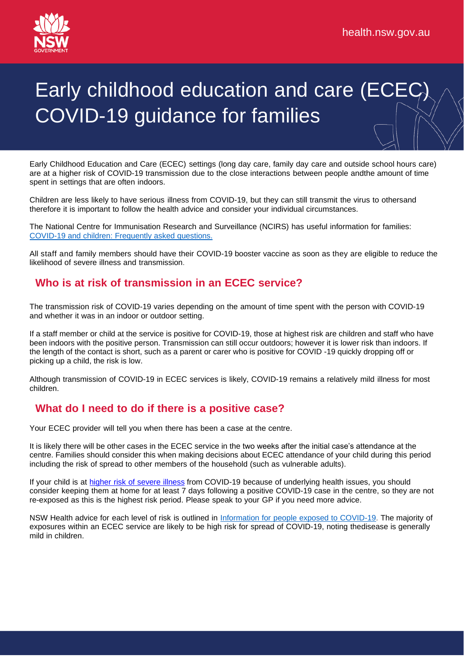

# Early childhood education and care (ECE COVID-19 guidance for families

Early Childhood Education and Care (ECEC) settings (long day care, family day care and outside school hours care) are at a higher risk of COVID-19 transmission due to the close interactions between people andthe amount of time spent in settings that are often indoors.

Children are less likely to have serious illness from COVID-19, but they can still transmit the virus to othersand therefore it is important to follow the health advice and consider your individual circumstances.

The National Centre for Immunisation Research and Surveillance (NCIRS) has useful information for families: COVID-19 and children: [Frequently](https://www.ncirs.org.au/covid-19/covid-19-and-children-frequently-asked-questions) asked questions.

All staff and family members should have their COVID-19 booster vaccine as soon as they are eligible to reduce the likelihood of severe illness and transmission.

#### **Who is at risk of transmission in an ECEC service?**

The transmission risk of COVID-19 varies depending on the amount of time spent with the person with COVID-19 and whether it was in an indoor or outdoor setting.

If a staff member or child at the service is positive for COVID-19, those at highest risk are children and staff who have been indoors with the positive person. Transmission can still occur outdoors; however it is lower risk than indoors. If the length of the contact is short, such as a parent or carer who is positive for COVID -19 quickly dropping off or picking up a child, the risk is low.

Although transmission of COVID-19 in ECEC services is likely, COVID-19 remains a relatively mild illness for most children.

### **What do I need to do if there is a positive case?**

Your ECEC provider will tell you when there has been a case at the centre.

It is likely there will be other cases in the ECEC service in the two weeks after the initial case's attendance at the centre. Families should consider this when making decisions about ECEC attendance of your child during this period including the risk of spread to other members of the household (such as vulnerable adults).

If your child is at higher risk of [severe](https://www.nsw.gov.au/covid-19/management/people-exposed-to-covid#toc-who-is-at-higher-risk-of-severe-illness) illness from COVID-19 because of underlying health issues, you should consider keeping them at home for at least 7 days following a positive COVID-19 case in the centre, so they are not re-exposed as this is the highest risk period. Please speak to your GP if you need more advice.

NSW Health advice for each level of risk is outlined in [Information](https://www.health.nsw.gov.au/Infectious/factsheets/Pages/people-exposed-to-covid.aspx) for people exposed to COVID-19. The majority of exposures within an ECEC service are likely to be high risk for spread of COVID-19, noting thedisease is generally mild in children.